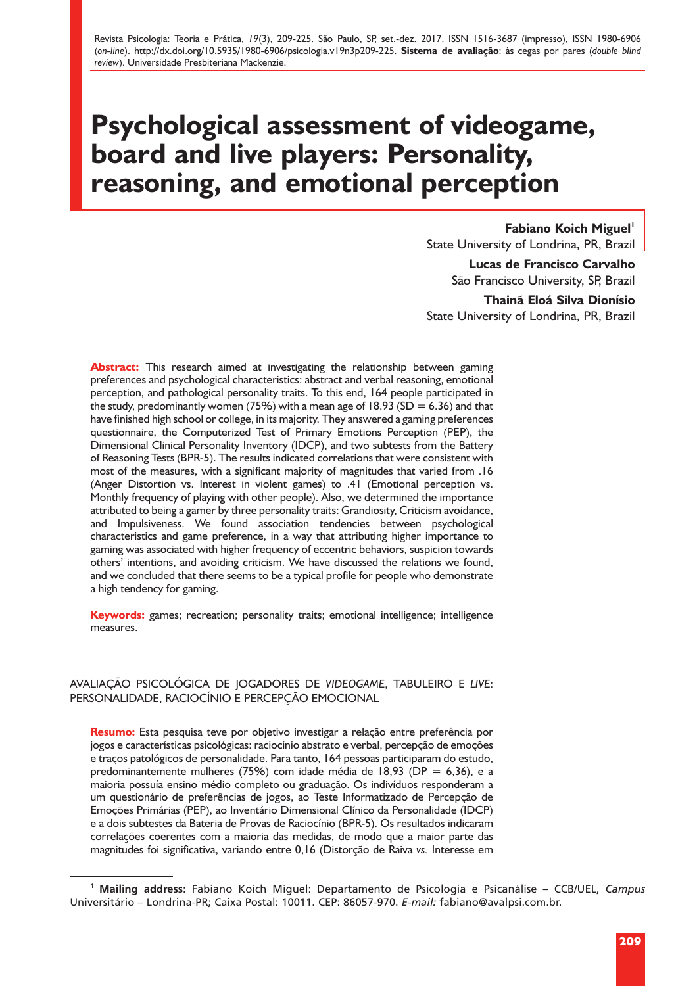Revista Psicologia: Teoria e Prática, *19*(3), 209-225. São Paulo, SP, set.-dez. 2017. ISSN 1516-3687 (impresso), ISSN 1980-6906 (*on-line*). http://dx.doi.org/10.5935/1980-6906/psicologia.v19n3p209-225. **Sistema de avaliação**: às cegas por pares (*double blind review*). Universidade Presbiteriana Mackenzie.

# **Psychological assessment of videogame, board and live players: Personality, reasoning, and emotional perception**

**Fabiano Koich Miguel**<sup>1</sup>

State University of Londrina, PR, Brazil

**Lucas de Francisco Carvalho** São Francisco University, SP, Brazil

**Thainã Eloá Silva Dionísio** State University of Londrina, PR, Brazil

**Abstract:** This research aimed at investigating the relationship between gaming preferences and psychological characteristics: abstract and verbal reasoning, emotional perception, and pathological personality traits. To this end, 164 people participated in the study, predominantly women (75%) with a mean age of 18.93 (SD = 6.36) and that have finished high school or college, in its majority. They answered a gaming preferences questionnaire, the Computerized Test of Primary Emotions Perception (PEP), the Dimensional Clinical Personality Inventory (IDCP), and two subtests from the Battery of Reasoning Tests (BPR-5). The results indicated correlations that were consistent with most of the measures, with a significant majority of magnitudes that varied from .16 (Anger Distortion vs. Interest in violent games) to .41 (Emotional perception vs. Monthly frequency of playing with other people). Also, we determined the importance attributed to being a gamer by three personality traits: Grandiosity, Criticism avoidance, and Impulsiveness. We found association tendencies between psychological characteristics and game preference, in a way that attributing higher importance to gaming was associated with higher frequency of eccentric behaviors, suspicion towards others' intentions, and avoiding criticism. We have discussed the relations we found, and we concluded that there seems to be a typical profile for people who demonstrate a high tendency for gaming.

**Keywords:** games; recreation; personality traits; emotional intelligence; intelligence measures.

AVALIAÇÃO PSICOLÓGICA DE JOGADORES DE *VIDEOGAME*, TABULEIRO E *LIVE*: PERSONALIDADE, RACIOCÍNIO E PERCEPÇÃO EMOCIONAL

**Resumo:** Esta pesquisa teve por objetivo investigar a relação entre preferência por jogos e características psicológicas: raciocínio abstrato e verbal, percepção de emoções e traços patológicos de personalidade. Para tanto, 164 pessoas participaram do estudo, predominantemente mulheres (75%) com idade média de 18,93 (DP = 6,36), e a maioria possuía ensino médio completo ou graduação. Os indivíduos responderam a um questionário de preferências de jogos, ao Teste Informatizado de Percepção de Emoções Primárias (PEP), ao Inventário Dimensional Clínico da Personalidade (IDCP) e a dois subtestes da Bateria de Provas de Raciocínio (BPR-5). Os resultados indicaram correlações coerentes com a maioria das medidas, de modo que a maior parte das magnitudes foi significativa, variando entre 0,16 (Distorção de Raiva *vs.* Interesse em

<sup>1</sup> **Mailing address:** Fabiano Koich Miguel: Departamento de Psicologia e Psicanálise – CCB/UEL, *Campus* Universitário – Londrina-PR; Caixa Postal: 10011. CEP: 86057-970. *E-mail:* fabiano@avalpsi.com.br.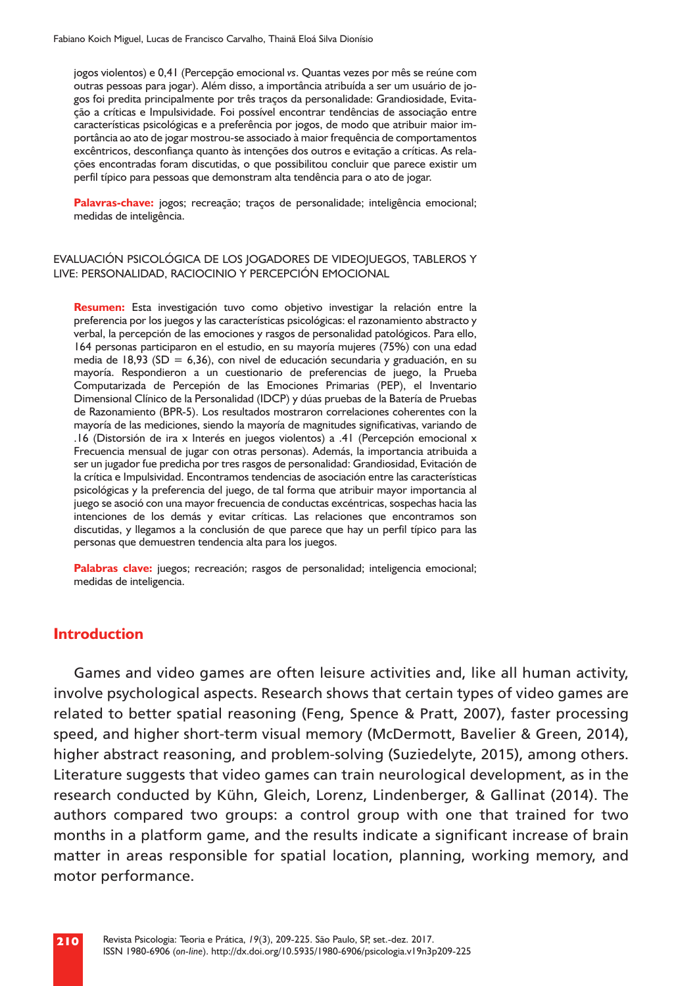jogos violentos) e 0,41 (Percepção emocional *vs*. Quantas vezes por mês se reúne com outras pessoas para jogar). Além disso, a importância atribuída a ser um usuário de jogos foi predita principalmente por três traços da personalidade: Grandiosidade, Evitação a críticas e Impulsividade. Foi possível encontrar tendências de associação entre características psicológicas e a preferência por jogos, de modo que atribuir maior importância ao ato de jogar mostrou-se associado à maior frequência de comportamentos excêntricos, desconfiança quanto às intenções dos outros e evitação a críticas. As relações encontradas foram discutidas, o que possibilitou concluir que parece existir um perfil típico para pessoas que demonstram alta tendência para o ato de jogar.

**Palavras-chave:** jogos; recreação; traços de personalidade; inteligência emocional; medidas de inteligência.

#### EVALUACIÓN PSICOLÓGICA DE LOS JOGADORES DE VIDEOJUEGOS, TABLEROS Y LIVE: PERSONALIDAD, RACIOCINIO Y PERCEPCIÓN EMOCIONAL

**Resumen:** Esta investigación tuvo como objetivo investigar la relación entre la preferencia por los juegos y las características psicológicas: el razonamiento abstracto y verbal, la percepción de las emociones y rasgos de personalidad patológicos. Para ello, 164 personas participaron en el estudio, en su mayoría mujeres (75%) con una edad media de 18,93 (SD = 6,36), con nivel de educación secundaria y graduación, en su mayoría. Respondieron a un cuestionario de preferencias de juego, la Prueba Computarizada de Percepión de las Emociones Primarias (PEP), el Inventario Dimensional Clínico de la Personalidad (IDCP) y dúas pruebas de la Batería de Pruebas de Razonamiento (BPR-5). Los resultados mostraron correlaciones coherentes con la mayoría de las mediciones, siendo la mayoría de magnitudes significativas, variando de .16 (Distorsión de ira x Interés en juegos violentos) a .41 (Percepción emocional x Frecuencia mensual de jugar con otras personas). Además, la importancia atribuida a ser un jugador fue predicha por tres rasgos de personalidad: Grandiosidad, Evitación de la crítica e Impulsividad. Encontramos tendencias de asociación entre las características psicológicas y la preferencia del juego, de tal forma que atribuir mayor importancia al juego se asoció con una mayor frecuencia de conductas excéntricas, sospechas hacia las intenciones de los demás y evitar críticas. Las relaciones que encontramos son discutidas, y llegamos a la conclusión de que parece que hay un perfil típico para las personas que demuestren tendencia alta para los juegos.

**Palabras clave:** juegos; recreación; rasgos de personalidad; inteligencia emocional; medidas de inteligencia.

#### **Introduction**

Games and video games are often leisure activities and, like all human activity, involve psychological aspects. Research shows that certain types of video games are related to better spatial reasoning (Feng, Spence & Pratt, 2007), faster processing speed, and higher short-term visual memory (McDermott, Bavelier & Green, 2014), higher abstract reasoning, and problem-solving (Suziedelyte, 2015), among others. Literature suggests that video games can train neurological development, as in the research conducted by Kühn, Gleich, Lorenz, Lindenberger, & Gallinat (2014). The authors compared two groups: a control group with one that trained for two months in a platform game, and the results indicate a significant increase of brain matter in areas responsible for spatial location, planning, working memory, and motor performance.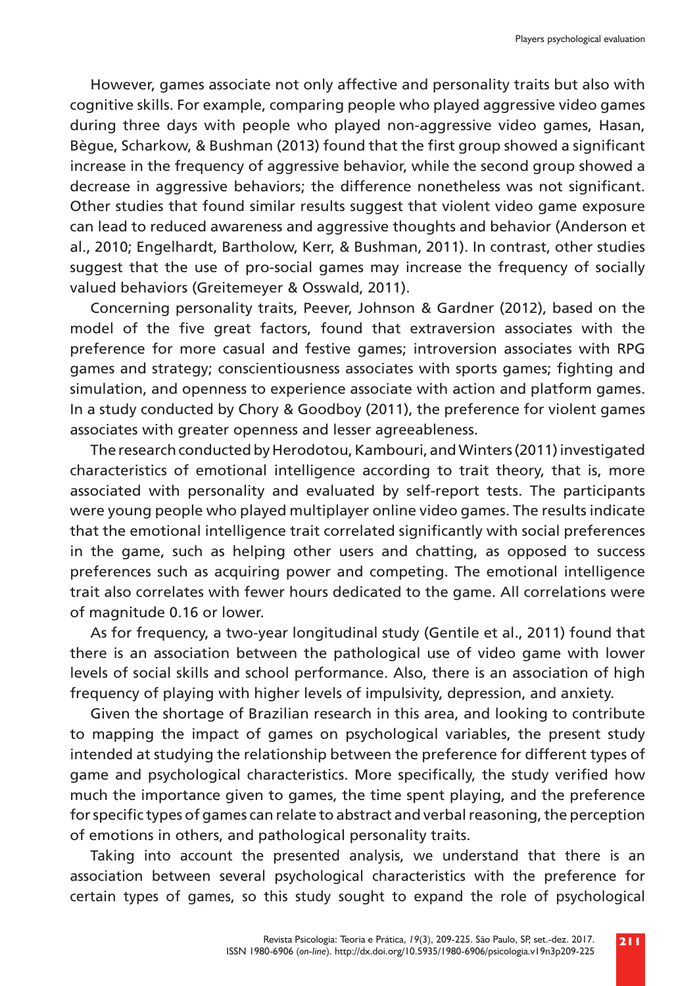However, games associate not only affective and personality traits but also with cognitive skills. For example, comparing people who played aggressive video games during three days with people who played non-aggressive video games, Hasan, Bègue, Scharkow, & Bushman (2013) found that the first group showed a significant increase in the frequency of aggressive behavior, while the second group showed a decrease in aggressive behaviors; the difference nonetheless was not significant. Other studies that found similar results suggest that violent video game exposure can lead to reduced awareness and aggressive thoughts and behavior (Anderson et al., 2010; Engelhardt, Bartholow, Kerr, & Bushman, 2011). In contrast, other studies suggest that the use of pro-social games may increase the frequency of socially valued behaviors (Greitemeyer & Osswald, 2011).

Concerning personality traits, Peever, Johnson & Gardner (2012), based on the model of the five great factors, found that extraversion associates with the preference for more casual and festive games; introversion associates with RPG games and strategy; conscientiousness associates with sports games; fighting and simulation, and openness to experience associate with action and platform games. In a study conducted by Chory & Goodboy (2011), the preference for violent games associates with greater openness and lesser agreeableness.

The research conducted by Herodotou, Kambouri, and Winters (2011) investigated characteristics of emotional intelligence according to trait theory, that is, more associated with personality and evaluated by self-report tests. The participants were young people who played multiplayer online video games. The results indicate that the emotional intelligence trait correlated significantly with social preferences in the game, such as helping other users and chatting, as opposed to success preferences such as acquiring power and competing. The emotional intelligence trait also correlates with fewer hours dedicated to the game. All correlations were of magnitude 0.16 or lower.

As for frequency, a two-year longitudinal study (Gentile et al., 2011) found that there is an association between the pathological use of video game with lower levels of social skills and school performance. Also, there is an association of high frequency of playing with higher levels of impulsivity, depression, and anxiety.

Given the shortage of Brazilian research in this area, and looking to contribute to mapping the impact of games on psychological variables, the present study intended at studying the relationship between the preference for different types of game and psychological characteristics. More specifically, the study verified how much the importance given to games, the time spent playing, and the preference for specific types of games can relate to abstract and verbal reasoning, the perception of emotions in others, and pathological personality traits.

Taking into account the presented analysis, we understand that there is an association between several psychological characteristics with the preference for certain types of games, so this study sought to expand the role of psychological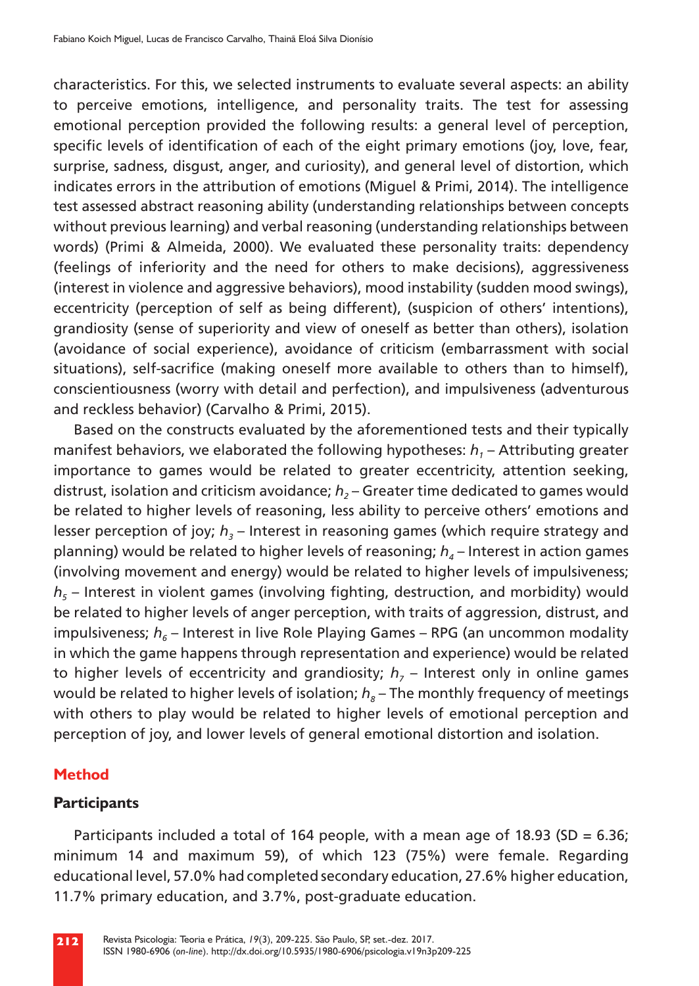characteristics. For this, we selected instruments to evaluate several aspects: an ability to perceive emotions, intelligence, and personality traits. The test for assessing emotional perception provided the following results: a general level of perception, specific levels of identification of each of the eight primary emotions (joy, love, fear, surprise, sadness, disgust, anger, and curiosity), and general level of distortion, which indicates errors in the attribution of emotions (Miguel & Primi, 2014). The intelligence test assessed abstract reasoning ability (understanding relationships between concepts without previous learning) and verbal reasoning (understanding relationships between words) (Primi & Almeida, 2000). We evaluated these personality traits: dependency (feelings of inferiority and the need for others to make decisions), aggressiveness (interest in violence and aggressive behaviors), mood instability (sudden mood swings), eccentricity (perception of self as being different), (suspicion of others' intentions), grandiosity (sense of superiority and view of oneself as better than others), isolation (avoidance of social experience), avoidance of criticism (embarrassment with social situations), self-sacrifice (making oneself more available to others than to himself), conscientiousness (worry with detail and perfection), and impulsiveness (adventurous and reckless behavior) (Carvalho & Primi, 2015).

Based on the constructs evaluated by the aforementioned tests and their typically manifest behaviors, we elaborated the following hypotheses:  $h_1$  – Attributing greater importance to games would be related to greater eccentricity, attention seeking, distrust, isolation and criticism avoidance; *h<sub>2</sub>* – Greater time dedicated to games would be related to higher levels of reasoning, less ability to perceive others' emotions and lesser perception of joy;  $h<sub>3</sub>$  – Interest in reasoning games (which require strategy and planning) would be related to higher levels of reasoning;  $h_a$  – Interest in action games (involving movement and energy) would be related to higher levels of impulsiveness;  $h<sub>5</sub>$  – Interest in violent games (involving fighting, destruction, and morbidity) would be related to higher levels of anger perception, with traits of aggression, distrust, and impulsiveness;  $h_6$  – Interest in live Role Playing Games – RPG (an uncommon modality in which the game happens through representation and experience) would be related to higher levels of eccentricity and grandiosity;  $h<sub>7</sub>$  – Interest only in online games would be related to higher levels of isolation;  $h<sub>8</sub>$  – The monthly frequency of meetings with others to play would be related to higher levels of emotional perception and perception of joy, and lower levels of general emotional distortion and isolation.

#### **Method**

## **Participants**

Participants included a total of 164 people, with a mean age of 18.93 (SD = 6.36; minimum 14 and maximum 59), of which 123 (75%) were female. Regarding educational level, 57.0% had completed secondary education, 27.6% higher education, 11.7% primary education, and 3.7%, post-graduate education.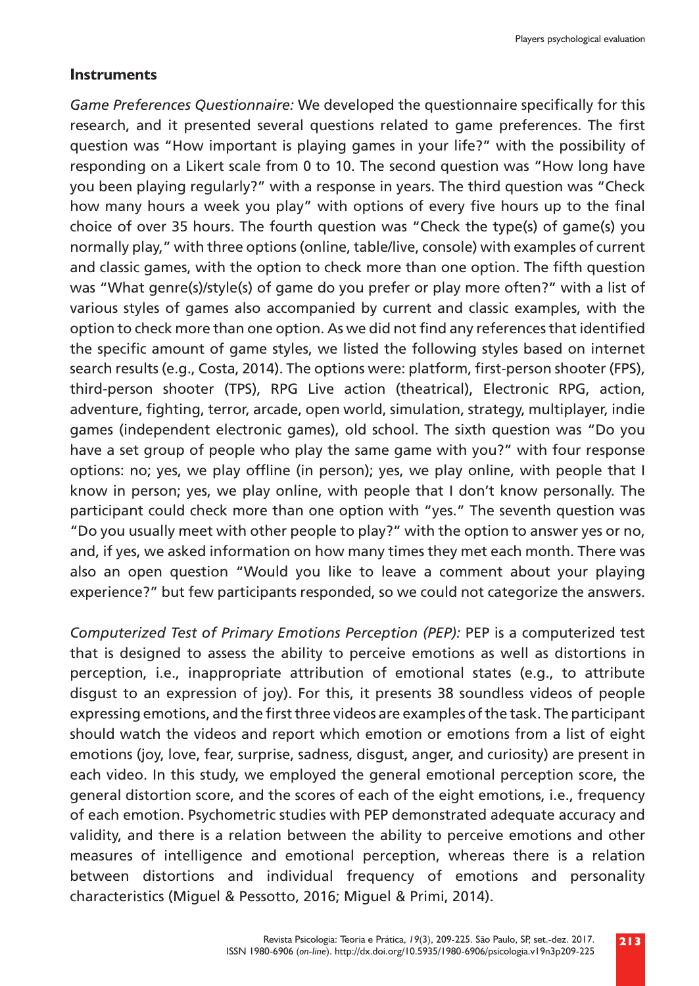#### **Instruments**

*Game Preferences Questionnaire:* We developed the questionnaire specifically for this research, and it presented several questions related to game preferences. The first question was "How important is playing games in your life?" with the possibility of responding on a Likert scale from 0 to 10. The second question was "How long have you been playing regularly?" with a response in years. The third question was "Check how many hours a week you play" with options of every five hours up to the final choice of over 35 hours. The fourth question was "Check the type(s) of game(s) you normally play," with three options (online, table/live, console) with examples of current and classic games, with the option to check more than one option. The fifth question was "What genre(s)/style(s) of game do you prefer or play more often?" with a list of various styles of games also accompanied by current and classic examples, with the option to check more than one option. As we did not find any references that identified the specific amount of game styles, we listed the following styles based on internet search results (e.g., Costa, 2014). The options were: platform, first-person shooter (FPS), third-person shooter (TPS), RPG Live action (theatrical), Electronic RPG, action, adventure, fighting, terror, arcade, open world, simulation, strategy, multiplayer, indie games (independent electronic games), old school. The sixth question was "Do you have a set group of people who play the same game with you?" with four response options: no; yes, we play offline (in person); yes, we play online, with people that I know in person; yes, we play online, with people that I don't know personally. The participant could check more than one option with "yes." The seventh question was "Do you usually meet with other people to play?" with the option to answer yes or no, and, if yes, we asked information on how many times they met each month. There was also an open question "Would you like to leave a comment about your playing experience?" but few participants responded, so we could not categorize the answers.

*Computerized Test of Primary Emotions Perception (PEP):* PEP is a computerized test that is designed to assess the ability to perceive emotions as well as distortions in perception, i.e., inappropriate attribution of emotional states (e.g., to attribute disgust to an expression of joy). For this, it presents 38 soundless videos of people expressing emotions, and the first three videos are examples of the task. The participant should watch the videos and report which emotion or emotions from a list of eight emotions (joy, love, fear, surprise, sadness, disgust, anger, and curiosity) are present in each video. In this study, we employed the general emotional perception score, the general distortion score, and the scores of each of the eight emotions, i.e., frequency of each emotion. Psychometric studies with PEP demonstrated adequate accuracy and validity, and there is a relation between the ability to perceive emotions and other measures of intelligence and emotional perception, whereas there is a relation between distortions and individual frequency of emotions and personality characteristics (Miguel & Pessotto, 2016; Miguel & Primi, 2014).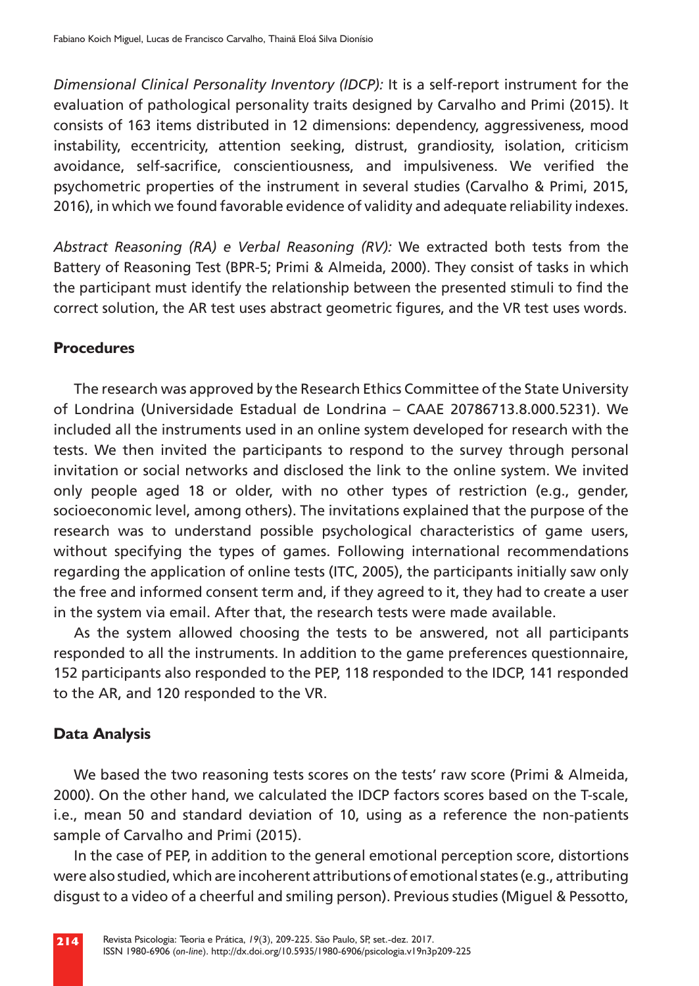*Dimensional Clinical Personality Inventory (IDCP):* It is a self-report instrument for the evaluation of pathological personality traits designed by Carvalho and Primi (2015). It consists of 163 items distributed in 12 dimensions: dependency, aggressiveness, mood instability, eccentricity, attention seeking, distrust, grandiosity, isolation, criticism avoidance, self-sacrifice, conscientiousness, and impulsiveness. We verified the psychometric properties of the instrument in several studies (Carvalho & Primi, 2015, 2016), in which we found favorable evidence of validity and adequate reliability indexes.

*Abstract Reasoning (RA) e Verbal Reasoning (RV):* We extracted both tests from the Battery of Reasoning Test (BPR-5; Primi & Almeida, 2000). They consist of tasks in which the participant must identify the relationship between the presented stimuli to find the correct solution, the AR test uses abstract geometric figures, and the VR test uses words.

### **Procedures**

The research was approved by the Research Ethics Committee of the State University of Londrina (Universidade Estadual de Londrina – CAAE 20786713.8.000.5231). We included all the instruments used in an online system developed for research with the tests. We then invited the participants to respond to the survey through personal invitation or social networks and disclosed the link to the online system. We invited only people aged 18 or older, with no other types of restriction (e.g., gender, socioeconomic level, among others). The invitations explained that the purpose of the research was to understand possible psychological characteristics of game users, without specifying the types of games. Following international recommendations regarding the application of online tests (ITC, 2005), the participants initially saw only the free and informed consent term and, if they agreed to it, they had to create a user in the system via email. After that, the research tests were made available.

As the system allowed choosing the tests to be answered, not all participants responded to all the instruments. In addition to the game preferences questionnaire, 152 participants also responded to the PEP, 118 responded to the IDCP, 141 responded to the AR, and 120 responded to the VR.

## **Data Analysis**

We based the two reasoning tests scores on the tests' raw score (Primi & Almeida, 2000). On the other hand, we calculated the IDCP factors scores based on the T-scale, i.e., mean 50 and standard deviation of 10, using as a reference the non-patients sample of Carvalho and Primi (2015).

In the case of PEP, in addition to the general emotional perception score, distortions were also studied, which are incoherent attributions of emotional states (e.g., attributing disgust to a video of a cheerful and smiling person). Previous studies (Miguel & Pessotto,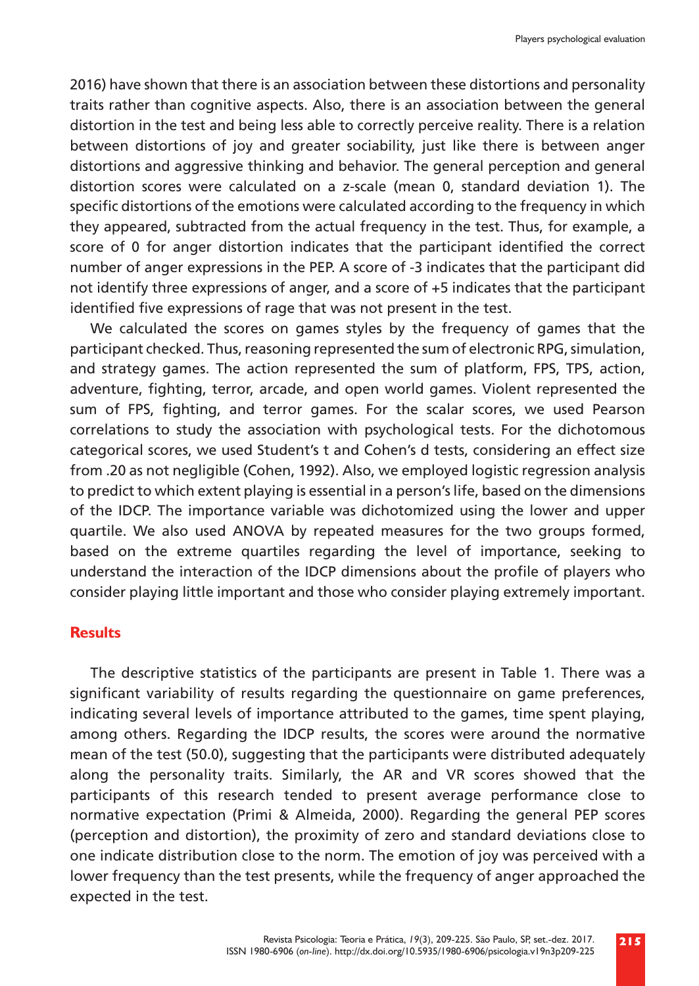2016) have shown that there is an association between these distortions and personality traits rather than cognitive aspects. Also, there is an association between the general distortion in the test and being less able to correctly perceive reality. There is a relation between distortions of joy and greater sociability, just like there is between anger distortions and aggressive thinking and behavior. The general perception and general distortion scores were calculated on a z-scale (mean 0, standard deviation 1). The specific distortions of the emotions were calculated according to the frequency in which they appeared, subtracted from the actual frequency in the test. Thus, for example, a score of 0 for anger distortion indicates that the participant identified the correct number of anger expressions in the PEP. A score of -3 indicates that the participant did not identify three expressions of anger, and a score of +5 indicates that the participant identified five expressions of rage that was not present in the test.

We calculated the scores on games styles by the frequency of games that the participant checked. Thus, reasoning represented the sum of electronic RPG, simulation, and strategy games. The action represented the sum of platform, FPS, TPS, action, adventure, fighting, terror, arcade, and open world games. Violent represented the sum of FPS, fighting, and terror games. For the scalar scores, we used Pearson correlations to study the association with psychological tests. For the dichotomous categorical scores, we used Student's t and Cohen's d tests, considering an effect size from .20 as not negligible (Cohen, 1992). Also, we employed logistic regression analysis to predict to which extent playing is essential in a person's life, based on the dimensions of the IDCP. The importance variable was dichotomized using the lower and upper quartile. We also used ANOVA by repeated measures for the two groups formed, based on the extreme quartiles regarding the level of importance, seeking to understand the interaction of the IDCP dimensions about the profile of players who consider playing little important and those who consider playing extremely important.

#### **Results**

The descriptive statistics of the participants are present in Table 1. There was a significant variability of results regarding the questionnaire on game preferences, indicating several levels of importance attributed to the games, time spent playing, among others. Regarding the IDCP results, the scores were around the normative mean of the test (50.0), suggesting that the participants were distributed adequately along the personality traits. Similarly, the AR and VR scores showed that the participants of this research tended to present average performance close to normative expectation (Primi & Almeida, 2000). Regarding the general PEP scores (perception and distortion), the proximity of zero and standard deviations close to one indicate distribution close to the norm. The emotion of joy was perceived with a lower frequency than the test presents, while the frequency of anger approached the expected in the test.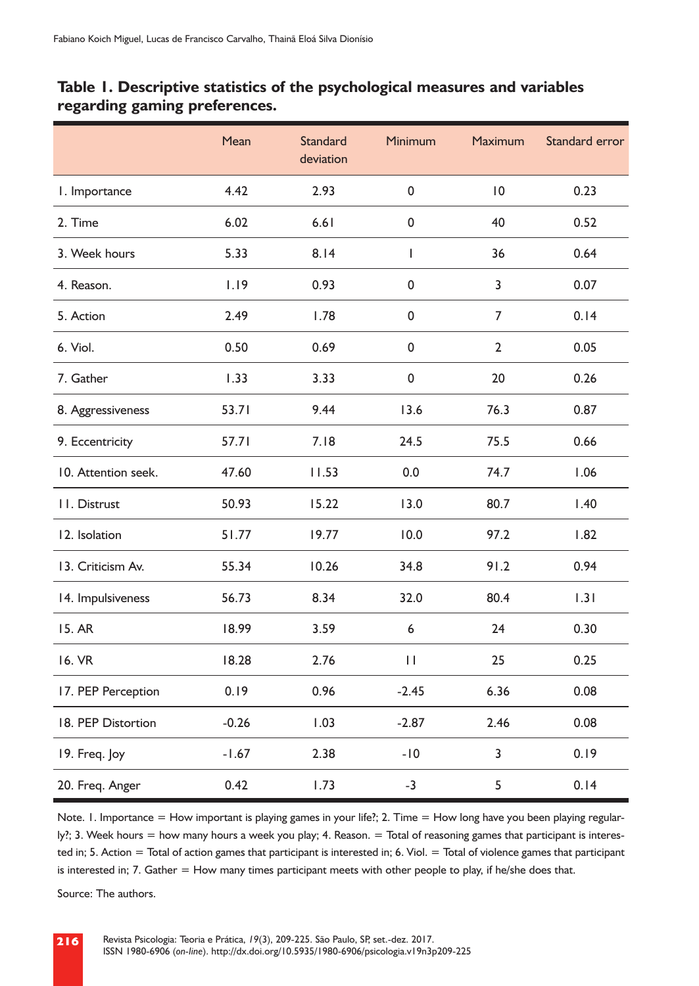|                     | Mean    | <b>Standard</b><br>deviation | <b>Minimum</b> | Maximum        | Standard error |
|---------------------|---------|------------------------------|----------------|----------------|----------------|
| I. Importance       | 4.42    | 2.93                         | 0              | $\overline{0}$ | 0.23           |
| 2. Time             | 6.02    | 6.61                         | 0              | 40             | 0.52           |
| 3. Week hours       | 5.33    | 8.14                         | T              | 36             | 0.64           |
| 4. Reason.          | 1.19    | 0.93                         | $\pmb{0}$      | 3              | 0.07           |
| 5. Action           | 2.49    | 1.78                         | 0              | $\overline{7}$ | 0.14           |
| 6. Viol.            | 0.50    | 0.69                         | $\pmb{0}$      | $\overline{2}$ | 0.05           |
| 7. Gather           | 1.33    | 3.33                         | 0              | 20             | 0.26           |
| 8. Aggressiveness   | 53.71   | 9.44                         | 13.6           | 76.3           | 0.87           |
| 9. Eccentricity     | 57.71   | 7.18                         | 24.5           | 75.5           | 0.66           |
| 10. Attention seek. | 47.60   | 11.53                        | 0.0            | 74.7           | 1.06           |
| II. Distrust        | 50.93   | 15.22                        | 13.0           | 80.7           | 1.40           |
| 12. Isolation       | 51.77   | 19.77                        | 10.0           | 97.2           | 1.82           |
| 13. Criticism Av.   | 55.34   | 10.26                        | 34.8           | 91.2           | 0.94           |
| 14. Impulsiveness   | 56.73   | 8.34                         | 32.0           | 80.4           | 1.31           |
| 15. AR              | 18.99   | 3.59                         | 6              | 24             | 0.30           |
| 16. VR              | 18.28   | 2.76                         | $\mathbf{H}$   | 25             | 0.25           |
| 17. PEP Perception  | 0.19    | 0.96                         | $-2.45$        | 6.36           | 0.08           |
| 18. PEP Distortion  | $-0.26$ | 1.03                         | $-2.87$        | 2.46           | 0.08           |
| 19. Freq. Joy       | $-1.67$ | 2.38                         | -10            | 3              | 0.19           |
| 20. Freq. Anger     | 0.42    | 1.73                         | $-3$           | 5              | 0.14           |

## **Table 1. Descriptive statistics of the psychological measures and variables regarding gaming preferences.**

Note. 1. Importance = How important is playing games in your life?; 2. Time = How long have you been playing regularly?; 3. Week hours = how many hours a week you play; 4. Reason. = Total of reasoning games that participant is interested in; 5. Action = Total of action games that participant is interested in; 6. Viol. = Total of violence games that participant is interested in; 7. Gather = How many times participant meets with other people to play, if he/she does that.

Source: The authors.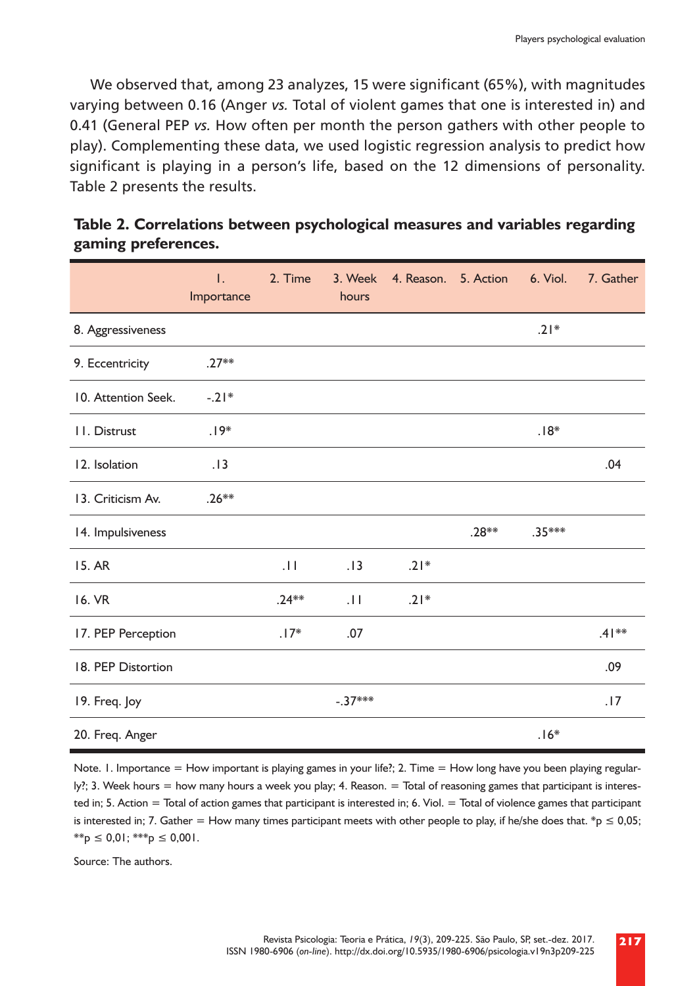We observed that, among 23 analyzes, 15 were significant (65%), with magnitudes varying between 0.16 (Anger *vs.* Total of violent games that one is interested in) and 0.41 (General PEP *vs.* How often per month the person gathers with other people to play). Complementing these data, we used logistic regression analysis to predict how significant is playing in a person's life, based on the 12 dimensions of personality. Table 2 presents the results.

|                     | $\mathsf{L}$<br>Importance | 2. Time     | 3. Week<br>hours | 4. Reason. 5. Action |         | 6. Viol. | 7. Gather |
|---------------------|----------------------------|-------------|------------------|----------------------|---------|----------|-----------|
| 8. Aggressiveness   |                            |             |                  |                      |         | $.21*$   |           |
| 9. Eccentricity     | $.27**$                    |             |                  |                      |         |          |           |
| 10. Attention Seek. | $-.21*$                    |             |                  |                      |         |          |           |
| II. Distrust        | $.19*$                     |             |                  |                      |         | $.18*$   |           |
| 12. Isolation       | .13                        |             |                  |                      |         |          | .04       |
| 13. Criticism Av.   | $.26***$                   |             |                  |                      |         |          |           |
| 14. Impulsiveness   |                            |             |                  |                      | $.28**$ | $.35***$ |           |
| 15. AR              |                            | $  \cdot  $ | .13              | $.21*$               |         |          |           |
| 16. VR              |                            | $.24***$    | 11               | $.21*$               |         |          |           |
| 17. PEP Perception  |                            | $.17*$      | .07              |                      |         |          | $.41***$  |
| 18. PEP Distortion  |                            |             |                  |                      |         |          | .09       |
| 19. Freq. Joy       |                            |             | $-.37***$        |                      |         |          | .17       |
| 20. Freq. Anger     |                            |             |                  |                      |         | $.16*$   |           |

**Table 2. Correlations between psychological measures and variables regarding gaming preferences.**

Note. 1. Importance = How important is playing games in your life?; 2. Time = How long have you been playing regularly?; 3. Week hours = how many hours a week you play; 4. Reason. = Total of reasoning games that participant is interested in; 5. Action = Total of action games that participant is interested in; 6. Viol. = Total of violence games that participant is interested in; 7. Gather = How many times participant meets with other people to play, if he/she does that. \*p  $\leq 0.05$ ;  $*_{p} \leq 0.01$ ;  $**_{p} \leq 0.001$ .

Source: The authors.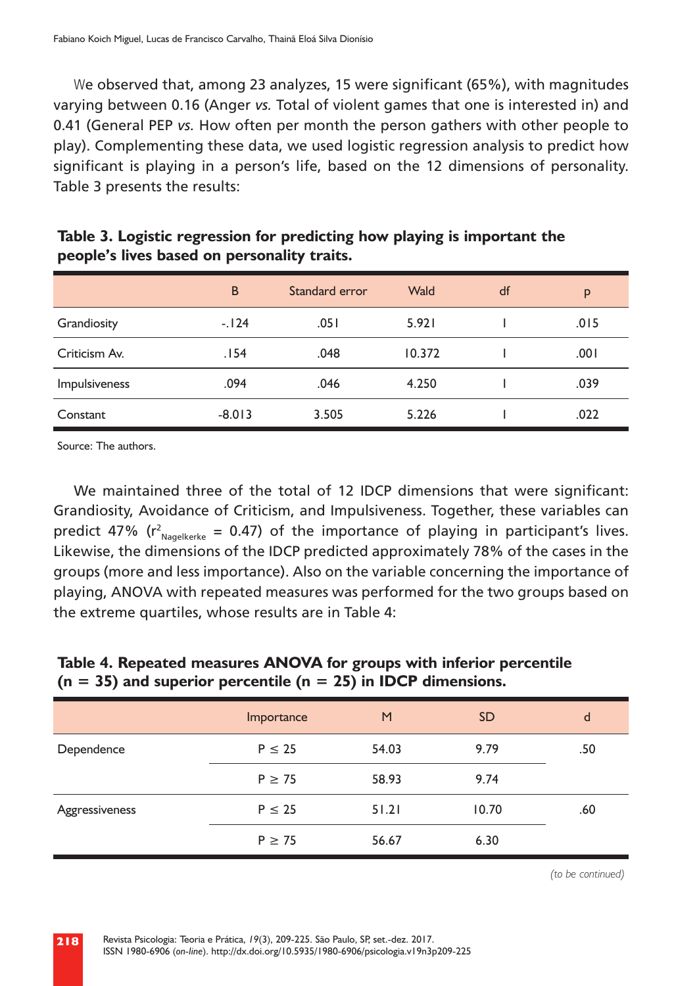We observed that, among 23 analyzes, 15 were significant (65%), with magnitudes varying between 0.16 (Anger *vs.* Total of violent games that one is interested in) and 0.41 (General PEP *vs.* How often per month the person gathers with other people to play). Complementing these data, we used logistic regression analysis to predict how significant is playing in a person's life, based on the 12 dimensions of personality. Table 3 presents the results:

|               | B        | Standard error | Wald   | df | p    |
|---------------|----------|----------------|--------|----|------|
| Grandiosity   | $-124$   | .051           | 5.921  |    | .015 |
| Criticism Av. | .154     | .048           | 10.372 |    | .001 |
| Impulsiveness | .094     | .046           | 4.250  |    | .039 |
| Constant      | $-8.013$ | 3.505          | 5.226  |    | .022 |

**Table 3. Logistic regression for predicting how playing is important the people's lives based on personality traits.**

Source: The authors.

We maintained three of the total of 12 IDCP dimensions that were significant: Grandiosity, Avoidance of Criticism, and Impulsiveness. Together, these variables can predict 47% ( $r^2_{Nagger{e}}$  = 0.47) of the importance of playing in participant's lives. Likewise, the dimensions of the IDCP predicted approximately 78% of the cases in the groups (more and less importance). Also on the variable concerning the importance of playing, ANOVA with repeated measures was performed for the two groups based on the extreme quartiles, whose results are in Table 4:

## **Table 4. Repeated measures ANOVA for groups with inferior percentile (n = 35) and superior percentile (n = 25) in IDCP dimensions.**

|                | Importance  | M     | <b>SD</b> | d   |
|----------------|-------------|-------|-----------|-----|
| Dependence     | $P \leq 25$ | 54.03 | 9.79      | .50 |
|                | $P \geq 75$ | 58.93 | 9.74      |     |
| Aggressiveness | $P \leq 25$ | 51.21 | 10.70     | .60 |
|                | $P \geq 75$ | 56.67 | 6.30      |     |

*(to be continued)*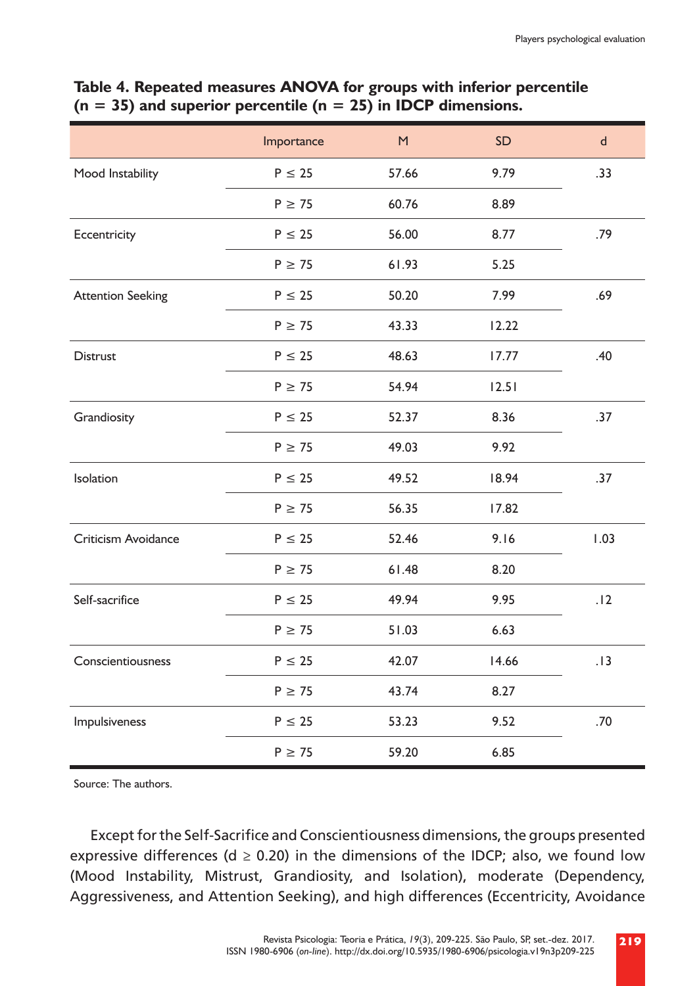|                          | Importance  | M     | SD    | $\mathsf{d}$ |
|--------------------------|-------------|-------|-------|--------------|
| Mood Instability         | $P \leq 25$ | 57.66 | 9.79  | .33          |
|                          | $P \geq 75$ | 60.76 | 8.89  |              |
| Eccentricity             | $P \leq 25$ | 56.00 | 8.77  | .79          |
|                          | $P \geq 75$ | 61.93 | 5.25  |              |
| <b>Attention Seeking</b> | $P \leq 25$ | 50.20 | 7.99  | .69          |
|                          | $P \geq 75$ | 43.33 | 12.22 |              |
| <b>Distrust</b>          | $P \leq 25$ | 48.63 | 17.77 | .40          |
|                          | $P \geq 75$ | 54.94 | 12.51 |              |
| Grandiosity              | $P \leq 25$ | 52.37 | 8.36  | .37          |
|                          | $P \geq 75$ | 49.03 | 9.92  |              |
| <b>Isolation</b>         | $P \leq 25$ | 49.52 | 18.94 | .37          |
|                          | $P \geq 75$ | 56.35 | 17.82 |              |
| Criticism Avoidance      | $P \leq 25$ | 52.46 | 9.16  | 1.03         |
|                          | $P \geq 75$ | 61.48 | 8.20  |              |
| Self-sacrifice           | $P \leq 25$ | 49.94 | 9.95  | .12          |
|                          | $P \geq 75$ | 51.03 | 6.63  |              |
| Conscientiousness        | $P \leq 25$ | 42.07 | 14.66 | .13          |
|                          | $P \geq 75$ | 43.74 | 8.27  |              |
| Impulsiveness            | $P \leq 25$ | 53.23 | 9.52  | .70          |
|                          | $P \geq 75$ | 59.20 | 6.85  |              |

## **Table 4. Repeated measures ANOVA for groups with inferior percentile (n = 35) and superior percentile (n = 25) in IDCP dimensions.**

Source: The authors.

Except for the Self-Sacrifice and Conscientiousness dimensions, the groups presented expressive differences (d  $\geq$  0.20) in the dimensions of the IDCP; also, we found low (Mood Instability, Mistrust, Grandiosity, and Isolation), moderate (Dependency, Aggressiveness, and Attention Seeking), and high differences (Eccentricity, Avoidance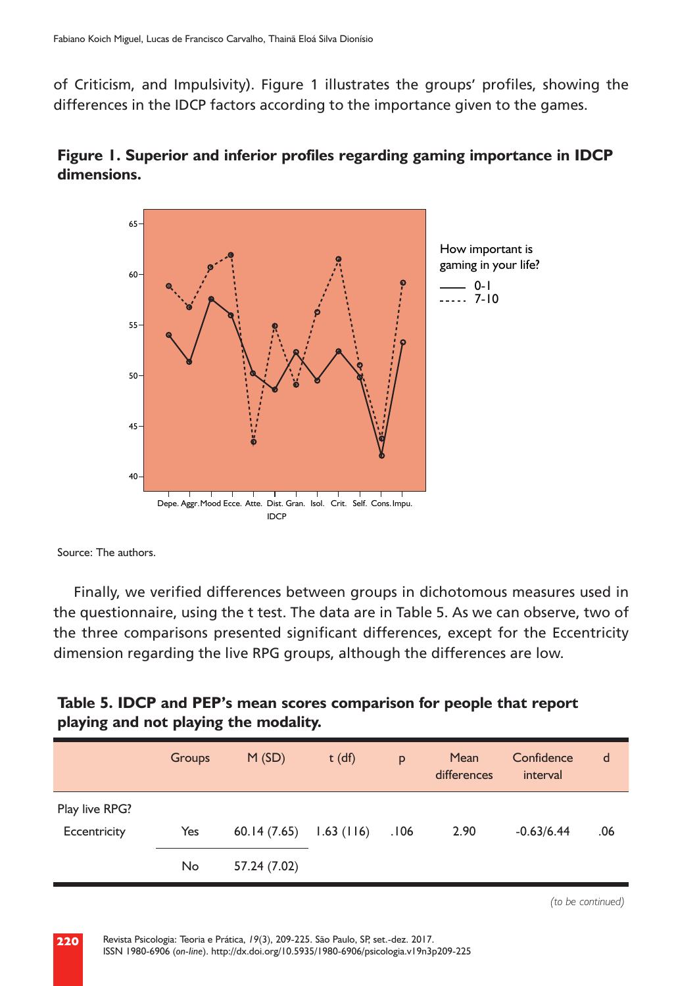of Criticism, and Impulsivity). Figure 1 illustrates the groups' profiles, showing the differences in the IDCP factors according to the importance given to the games.



**Figure 1. Superior and inferior profiles regarding gaming importance in IDCP dimensions.**

Source: The authors.

Finally, we verified differences between groups in dichotomous measures used in the questionnaire, using the t test. The data are in Table 5. As we can observe, two of the three comparisons presented significant differences, except for the Eccentricity dimension regarding the live RPG groups, although the differences are low.

| Table 5. IDCP and PEP's mean scores comparison for people that report |  |  |
|-----------------------------------------------------------------------|--|--|
| playing and not playing the modality.                                 |  |  |

|                                | Groups | M(SD)        | $t$ (df)  | p    | Mean<br>differences | Confidence<br>interval | d   |
|--------------------------------|--------|--------------|-----------|------|---------------------|------------------------|-----|
| Play live RPG?<br>Eccentricity | Yes    | 60.14(7.65)  | 1.63(116) | .106 | 2.90                | $-0.63/6.44$           | .06 |
|                                | No     | 57.24 (7.02) |           |      |                     |                        |     |

*(to be continued)*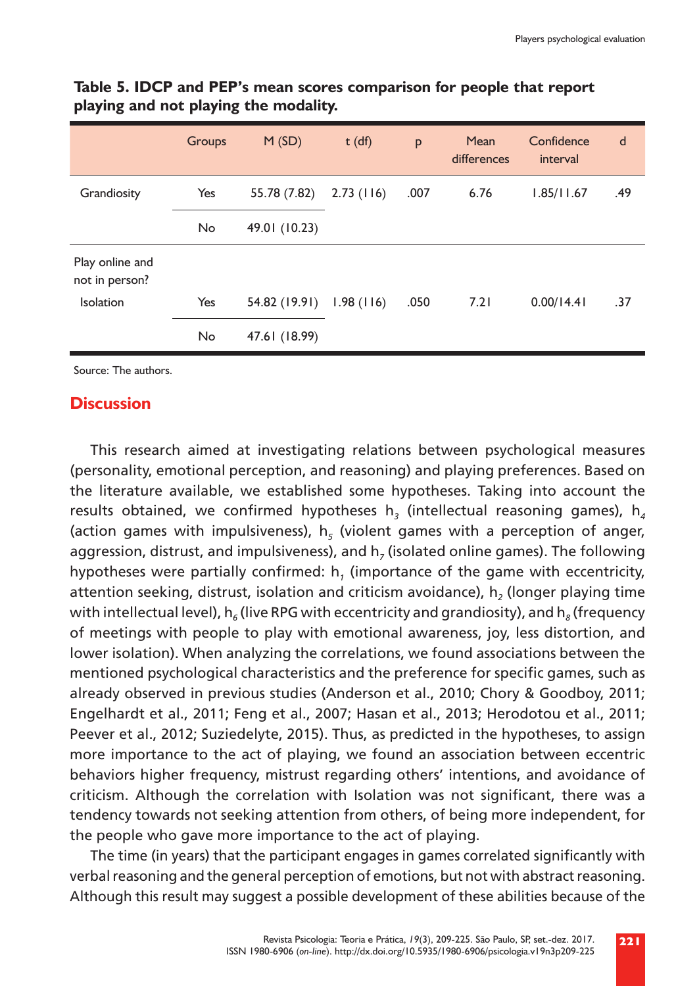|                                   | <b>Groups</b> | M(SD)         | $t$ (df)  | p    | Mean<br>differences | Confidence<br>interval | d   |
|-----------------------------------|---------------|---------------|-----------|------|---------------------|------------------------|-----|
| Grandiosity                       | Yes           | 55.78 (7.82)  | 2.73(116) | .007 | 6.76                | 1.85/11.67             | .49 |
|                                   | No.           | 49.01 (10.23) |           |      |                     |                        |     |
| Play online and<br>not in person? |               |               |           |      |                     |                        |     |
| Isolation                         | Yes           | 54.82 (19.91) | 1.98(116) | .050 | 7.21                | 0.00/14.41             | .37 |
|                                   | No            | 47.61 (18.99) |           |      |                     |                        |     |

## **Table 5. IDCP and PEP's mean scores comparison for people that report playing and not playing the modality.**

Source: The authors.

## **Discussion**

This research aimed at investigating relations between psychological measures (personality, emotional perception, and reasoning) and playing preferences. Based on the literature available, we established some hypotheses. Taking into account the results obtained, we confirmed hypotheses h<sub>3</sub> (intellectual reasoning games),  $h_a$ (action games with impulsiveness),  $h<sub>s</sub>$  (violent games with a perception of anger, aggression, distrust, and impulsiveness), and h<sub>7</sub> (isolated online games). The following hypotheses were partially confirmed: h*1* (importance of the game with eccentricity, attention seeking, distrust, isolation and criticism avoidance), h*2* (longer playing time with intellectual level),  $h_6$  (live RPG with eccentricity and grandiosity), and  $h_8$  (frequency of meetings with people to play with emotional awareness, joy, less distortion, and lower isolation). When analyzing the correlations, we found associations between the mentioned psychological characteristics and the preference for specific games, such as already observed in previous studies (Anderson et al., 2010; Chory & Goodboy, 2011; Engelhardt et al., 2011; Feng et al., 2007; Hasan et al., 2013; Herodotou et al., 2011; Peever et al., 2012; Suziedelyte, 2015). Thus, as predicted in the hypotheses, to assign more importance to the act of playing, we found an association between eccentric behaviors higher frequency, mistrust regarding others' intentions, and avoidance of criticism. Although the correlation with Isolation was not significant, there was a tendency towards not seeking attention from others, of being more independent, for the people who gave more importance to the act of playing.

The time (in years) that the participant engages in games correlated significantly with verbal reasoning and the general perception of emotions, but not with abstract reasoning. Although this result may suggest a possible development of these abilities because of the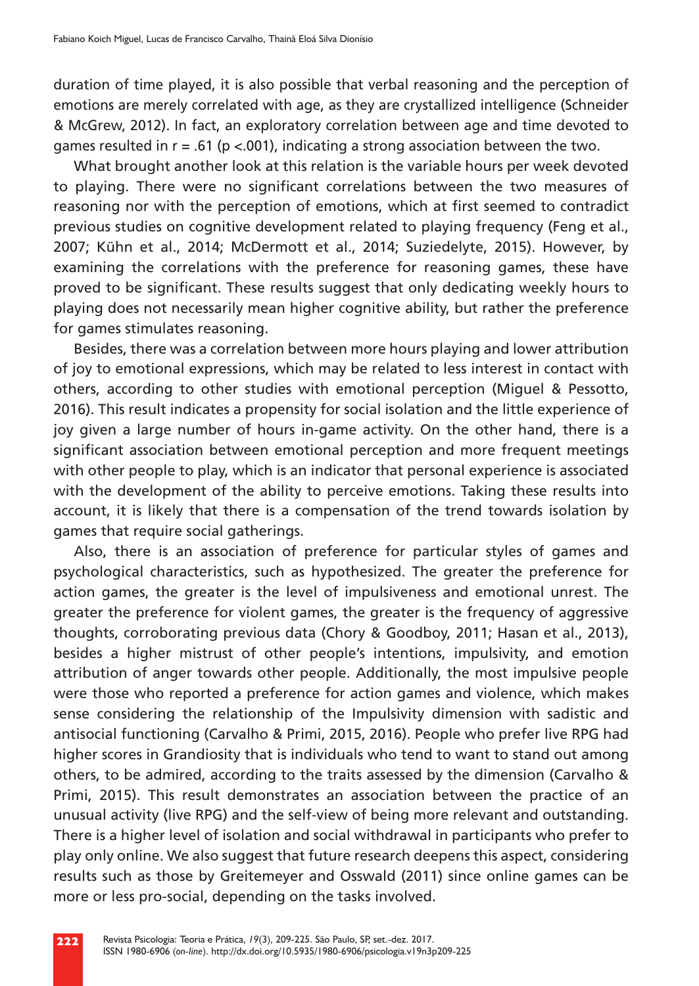duration of time played, it is also possible that verbal reasoning and the perception of emotions are merely correlated with age, as they are crystallized intelligence (Schneider & McGrew, 2012). In fact, an exploratory correlation between age and time devoted to games resulted in  $r = .61$  (p <.001), indicating a strong association between the two.

What brought another look at this relation is the variable hours per week devoted to playing. There were no significant correlations between the two measures of reasoning nor with the perception of emotions, which at first seemed to contradict previous studies on cognitive development related to playing frequency (Feng et al., 2007; Kühn et al., 2014; McDermott et al., 2014; Suziedelyte, 2015). However, by examining the correlations with the preference for reasoning games, these have proved to be significant. These results suggest that only dedicating weekly hours to playing does not necessarily mean higher cognitive ability, but rather the preference for games stimulates reasoning.

Besides, there was a correlation between more hours playing and lower attribution of joy to emotional expressions, which may be related to less interest in contact with others, according to other studies with emotional perception (Miguel & Pessotto, 2016). This result indicates a propensity for social isolation and the little experience of joy given a large number of hours in-game activity. On the other hand, there is a significant association between emotional perception and more frequent meetings with other people to play, which is an indicator that personal experience is associated with the development of the ability to perceive emotions. Taking these results into account, it is likely that there is a compensation of the trend towards isolation by games that require social gatherings.

Also, there is an association of preference for particular styles of games and psychological characteristics, such as hypothesized. The greater the preference for action games, the greater is the level of impulsiveness and emotional unrest. The greater the preference for violent games, the greater is the frequency of aggressive thoughts, corroborating previous data (Chory & Goodboy, 2011; Hasan et al., 2013), besides a higher mistrust of other people's intentions, impulsivity, and emotion attribution of anger towards other people. Additionally, the most impulsive people were those who reported a preference for action games and violence, which makes sense considering the relationship of the Impulsivity dimension with sadistic and antisocial functioning (Carvalho & Primi, 2015, 2016). People who prefer live RPG had higher scores in Grandiosity that is individuals who tend to want to stand out among others, to be admired, according to the traits assessed by the dimension (Carvalho & Primi, 2015). This result demonstrates an association between the practice of an unusual activity (live RPG) and the self-view of being more relevant and outstanding. There is a higher level of isolation and social withdrawal in participants who prefer to play only online. We also suggest that future research deepens this aspect, considering results such as those by Greitemeyer and Osswald (2011) since online games can be more or less pro-social, depending on the tasks involved.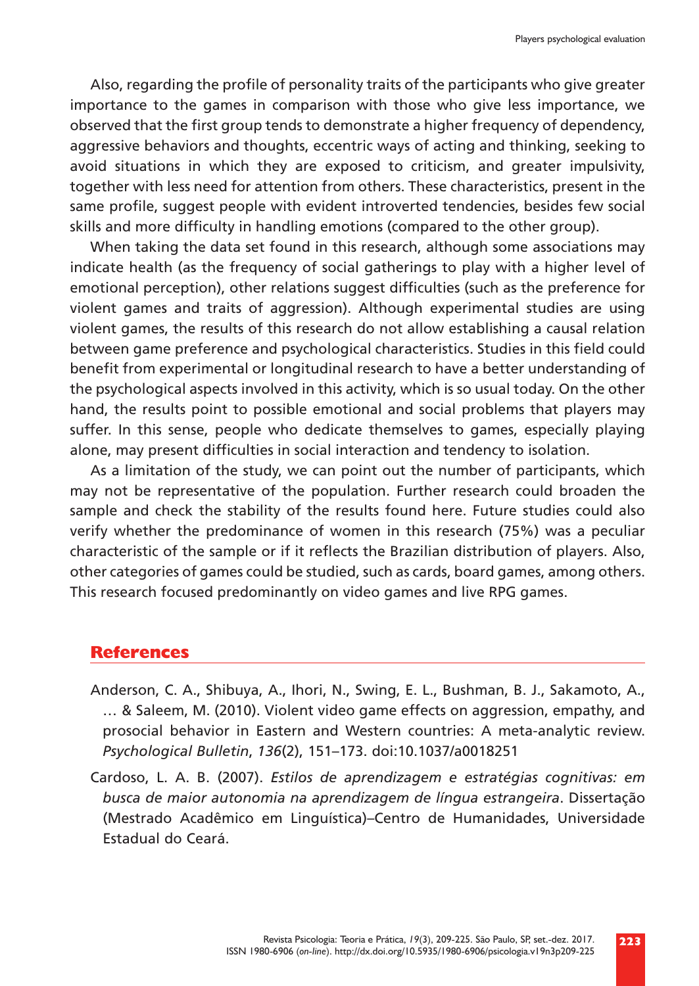Also, regarding the profile of personality traits of the participants who give greater importance to the games in comparison with those who give less importance, we observed that the first group tends to demonstrate a higher frequency of dependency, aggressive behaviors and thoughts, eccentric ways of acting and thinking, seeking to avoid situations in which they are exposed to criticism, and greater impulsivity, together with less need for attention from others. These characteristics, present in the same profile, suggest people with evident introverted tendencies, besides few social skills and more difficulty in handling emotions (compared to the other group).

When taking the data set found in this research, although some associations may indicate health (as the frequency of social gatherings to play with a higher level of emotional perception), other relations suggest difficulties (such as the preference for violent games and traits of aggression). Although experimental studies are using violent games, the results of this research do not allow establishing a causal relation between game preference and psychological characteristics. Studies in this field could benefit from experimental or longitudinal research to have a better understanding of the psychological aspects involved in this activity, which is so usual today. On the other hand, the results point to possible emotional and social problems that players may suffer. In this sense, people who dedicate themselves to games, especially playing alone, may present difficulties in social interaction and tendency to isolation.

As a limitation of the study, we can point out the number of participants, which may not be representative of the population. Further research could broaden the sample and check the stability of the results found here. Future studies could also verify whether the predominance of women in this research (75%) was a peculiar characteristic of the sample or if it reflects the Brazilian distribution of players. Also, other categories of games could be studied, such as cards, board games, among others. This research focused predominantly on video games and live RPG games.

## **References**

- Anderson, C. A., Shibuya, A., Ihori, N., Swing, E. L., Bushman, B. J., Sakamoto, A., … & Saleem, M. (2010). Violent video game effects on aggression, empathy, and prosocial behavior in Eastern and Western countries: A meta-analytic review. *Psychological Bulletin*, *136*(2), 151–173. doi:10.1037/a0018251
- Cardoso, L. A. B. (2007). *Estilos de aprendizagem e estratégias cognitivas: em busca de maior autonomia na aprendizagem de língua estrangeira*. Dissertação (Mestrado Acadêmico em Linguística)–Centro de Humanidades, Universidade Estadual do Ceará.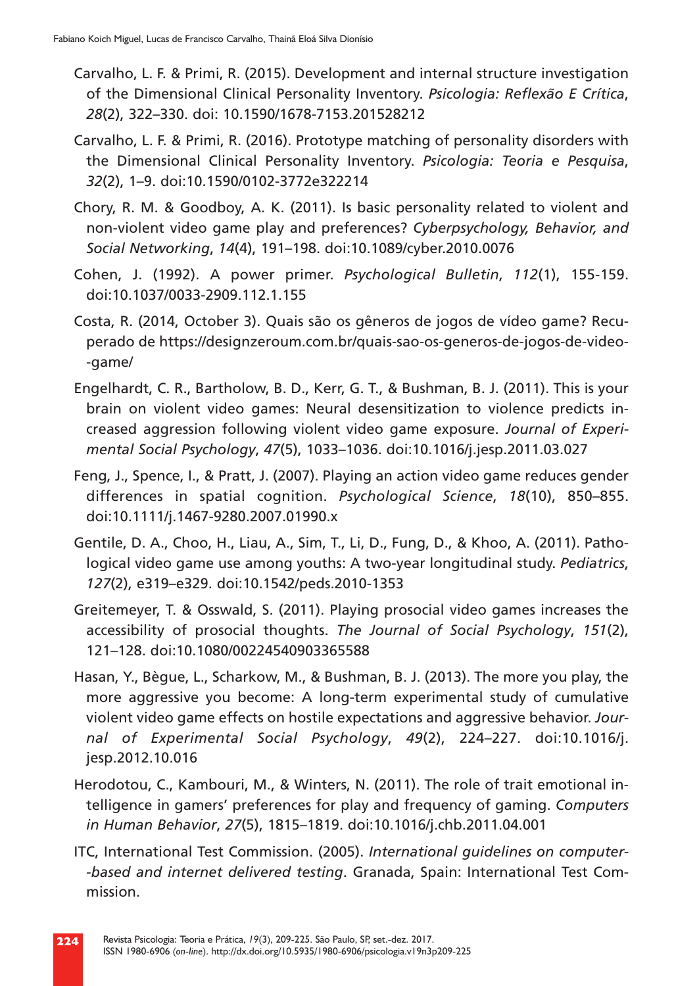- Carvalho, L. F. & Primi, R. (2015). Development and internal structure investigation of the Dimensional Clinical Personality Inventory. *Psicologia: Reflexão E Crítica*, *28*(2), 322–330. doi: 10.1590/1678-7153.201528212
- Carvalho, L. F. & Primi, R. (2016). Prototype matching of personality disorders with the Dimensional Clinical Personality Inventory. *Psicologia: Teoria e Pesquisa*, *32*(2), 1–9. doi:10.1590/0102-3772e322214
- Chory, R. M. & Goodboy, A. K. (2011). Is basic personality related to violent and non-violent video game play and preferences? *Cyberpsychology, Behavior, and Social Networking*, *14*(4), 191–198. doi:10.1089/cyber.2010.0076
- Cohen, J. (1992). A power primer. *Psychological Bulletin*, *112*(1), 155-159. doi:10.1037/0033-2909.112.1.155
- Costa, R. (2014, October 3). Quais são os gêneros de jogos de vídeo game? Recuperado de https://designzeroum.com.br/quais-sao-os-generos-de-jogos-de-video- -game/
- Engelhardt, C. R., Bartholow, B. D., Kerr, G. T., & Bushman, B. J. (2011). This is your brain on violent video games: Neural desensitization to violence predicts increased aggression following violent video game exposure. *Journal of Experimental Social Psychology*, *47*(5), 1033–1036. doi:10.1016/j.jesp.2011.03.027
- Feng, J., Spence, I., & Pratt, J. (2007). Playing an action video game reduces gender differences in spatial cognition. *Psychological Science*, *18*(10), 850–855. doi:10.1111/j.1467-9280.2007.01990.x
- Gentile, D. A., Choo, H., Liau, A., Sim, T., Li, D., Fung, D., & Khoo, A. (2011). Pathological video game use among youths: A two-year longitudinal study. *Pediatrics*, *127*(2), e319–e329. doi:10.1542/peds.2010-1353
- Greitemeyer, T. & Osswald, S. (2011). Playing prosocial video games increases the accessibility of prosocial thoughts. *The Journal of Social Psychology*, *151*(2), 121–128. doi:10.1080/00224540903365588
- Hasan, Y., Bègue, L., Scharkow, M., & Bushman, B. J. (2013). The more you play, the more aggressive you become: A long-term experimental study of cumulative violent video game effects on hostile expectations and aggressive behavior. *Journal of Experimental Social Psychology*, *49*(2), 224–227. doi:10.1016/j. jesp.2012.10.016
- Herodotou, C., Kambouri, M., & Winters, N. (2011). The role of trait emotional intelligence in gamers' preferences for play and frequency of gaming. *Computers in Human Behavior*, *27*(5), 1815–1819. doi:10.1016/j.chb.2011.04.001
- ITC, International Test Commission. (2005). *International guidelines on computer- -based and internet delivered testing*. Granada, Spain: International Test Commission.